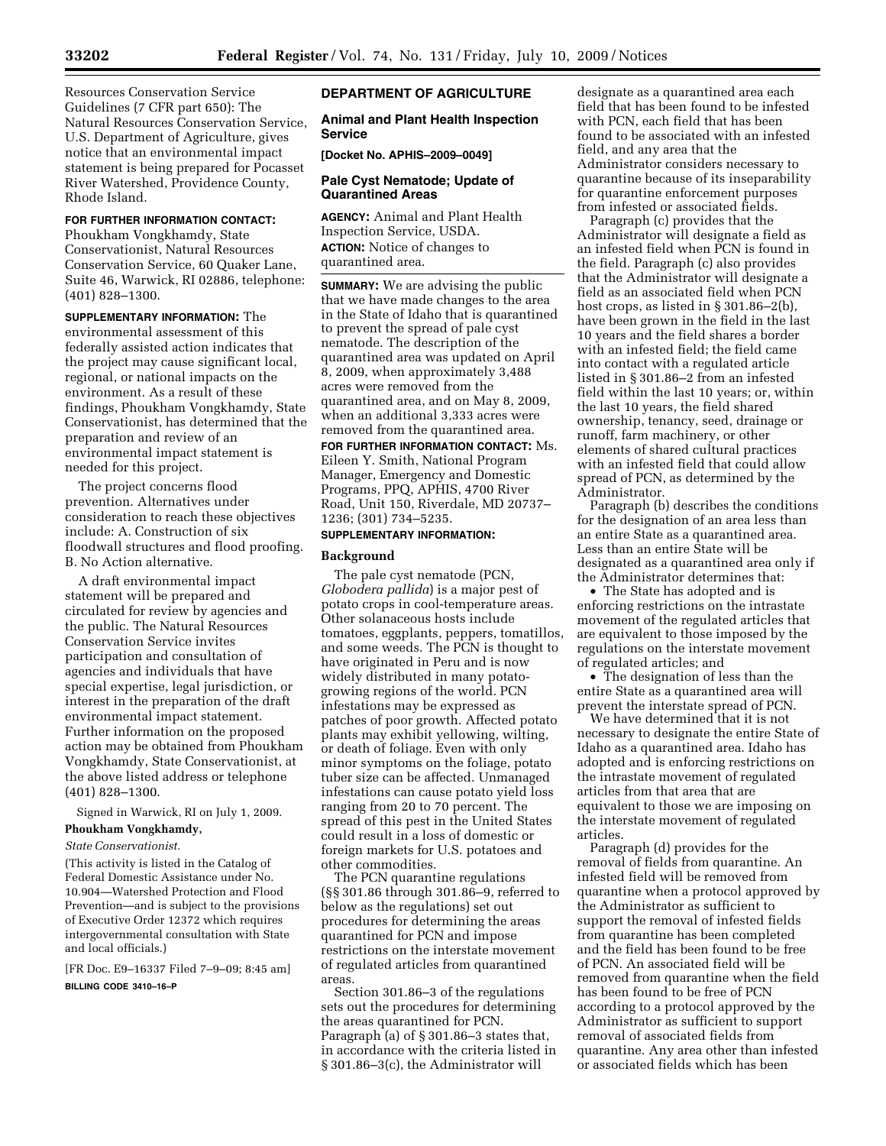Resources Conservation Service Guidelines (7 CFR part 650): The Natural Resources Conservation Service, U.S. Department of Agriculture, gives notice that an environmental impact statement is being prepared for Pocasset River Watershed, Providence County, Rhode Island.

#### **FOR FURTHER INFORMATION CONTACT:**

Phoukham Vongkhamdy, State Conservationist, Natural Resources Conservation Service, 60 Quaker Lane, Suite 46, Warwick, RI 02886, telephone: (401) 828–1300.

**SUPPLEMENTARY INFORMATION:** The environmental assessment of this federally assisted action indicates that the project may cause significant local, regional, or national impacts on the environment. As a result of these findings, Phoukham Vongkhamdy, State Conservationist, has determined that the preparation and review of an environmental impact statement is needed for this project.

The project concerns flood prevention. Alternatives under consideration to reach these objectives include: A. Construction of six floodwall structures and flood proofing. B. No Action alternative.

A draft environmental impact statement will be prepared and circulated for review by agencies and the public. The Natural Resources Conservation Service invites participation and consultation of agencies and individuals that have special expertise, legal jurisdiction, or interest in the preparation of the draft environmental impact statement. Further information on the proposed action may be obtained from Phoukham Vongkhamdy, State Conservationist, at the above listed address or telephone (401) 828–1300.

Signed in Warwick, RI on July 1, 2009.

# **Phoukham Vongkhamdy,**

*State Conservationist.* 

(This activity is listed in the Catalog of Federal Domestic Assistance under No. 10.904—Watershed Protection and Flood Prevention—and is subject to the provisions of Executive Order 12372 which requires intergovernmental consultation with State and local officials.)

[FR Doc. E9–16337 Filed 7–9–09; 8:45 am] **BILLING CODE 3410–16–P** 

#### **DEPARTMENT OF AGRICULTURE**

**Animal and Plant Health Inspection Service** 

**[Docket No. APHIS–2009–0049]** 

#### **Pale Cyst Nematode; Update of Quarantined Areas**

**AGENCY:** Animal and Plant Health Inspection Service, USDA. **ACTION:** Notice of changes to quarantined area.

**SUMMARY:** We are advising the public that we have made changes to the area in the State of Idaho that is quarantined to prevent the spread of pale cyst nematode. The description of the quarantined area was updated on April 8, 2009, when approximately 3,488 acres were removed from the quarantined area, and on May 8, 2009, when an additional 3,333 acres were removed from the quarantined area.

**FOR FURTHER INFORMATION CONTACT:** Ms. Eileen Y. Smith, National Program Manager, Emergency and Domestic Programs, PPQ, APHIS, 4700 River Road, Unit 150, Riverdale, MD 20737– 1236; (301) 734–5235.

### **SUPPLEMENTARY INFORMATION:**

#### **Background**

The pale cyst nematode (PCN, *Globodera pallida*) is a major pest of potato crops in cool-temperature areas. Other solanaceous hosts include tomatoes, eggplants, peppers, tomatillos, and some weeds. The PCN is thought to have originated in Peru and is now widely distributed in many potatogrowing regions of the world. PCN infestations may be expressed as patches of poor growth. Affected potato plants may exhibit yellowing, wilting, or death of foliage. Even with only minor symptoms on the foliage, potato tuber size can be affected. Unmanaged infestations can cause potato yield loss ranging from 20 to 70 percent. The spread of this pest in the United States could result in a loss of domestic or foreign markets for U.S. potatoes and other commodities.

The PCN quarantine regulations (§§ 301.86 through 301.86–9, referred to below as the regulations) set out procedures for determining the areas quarantined for PCN and impose restrictions on the interstate movement of regulated articles from quarantined areas.

Section 301.86–3 of the regulations sets out the procedures for determining the areas quarantined for PCN. Paragraph (a) of § 301.86–3 states that, in accordance with the criteria listed in § 301.86–3(c), the Administrator will

designate as a quarantined area each field that has been found to be infested with PCN, each field that has been found to be associated with an infested field, and any area that the Administrator considers necessary to quarantine because of its inseparability for quarantine enforcement purposes from infested or associated fields.

Paragraph (c) provides that the Administrator will designate a field as an infested field when PCN is found in the field. Paragraph (c) also provides that the Administrator will designate a field as an associated field when PCN host crops, as listed in § 301.86–2(b), have been grown in the field in the last 10 years and the field shares a border with an infested field; the field came into contact with a regulated article listed in § 301.86–2 from an infested field within the last 10 years; or, within the last 10 years, the field shared ownership, tenancy, seed, drainage or runoff, farm machinery, or other elements of shared cultural practices with an infested field that could allow spread of PCN, as determined by the Administrator.

Paragraph (b) describes the conditions for the designation of an area less than an entire State as a quarantined area. Less than an entire State will be designated as a quarantined area only if the Administrator determines that:

• The State has adopted and is enforcing restrictions on the intrastate movement of the regulated articles that are equivalent to those imposed by the regulations on the interstate movement of regulated articles; and

• The designation of less than the entire State as a quarantined area will prevent the interstate spread of PCN.

We have determined that it is not necessary to designate the entire State of Idaho as a quarantined area. Idaho has adopted and is enforcing restrictions on the intrastate movement of regulated articles from that area that are equivalent to those we are imposing on the interstate movement of regulated articles.

Paragraph (d) provides for the removal of fields from quarantine. An infested field will be removed from quarantine when a protocol approved by the Administrator as sufficient to support the removal of infested fields from quarantine has been completed and the field has been found to be free of PCN. An associated field will be removed from quarantine when the field has been found to be free of PCN according to a protocol approved by the Administrator as sufficient to support removal of associated fields from quarantine. Any area other than infested or associated fields which has been